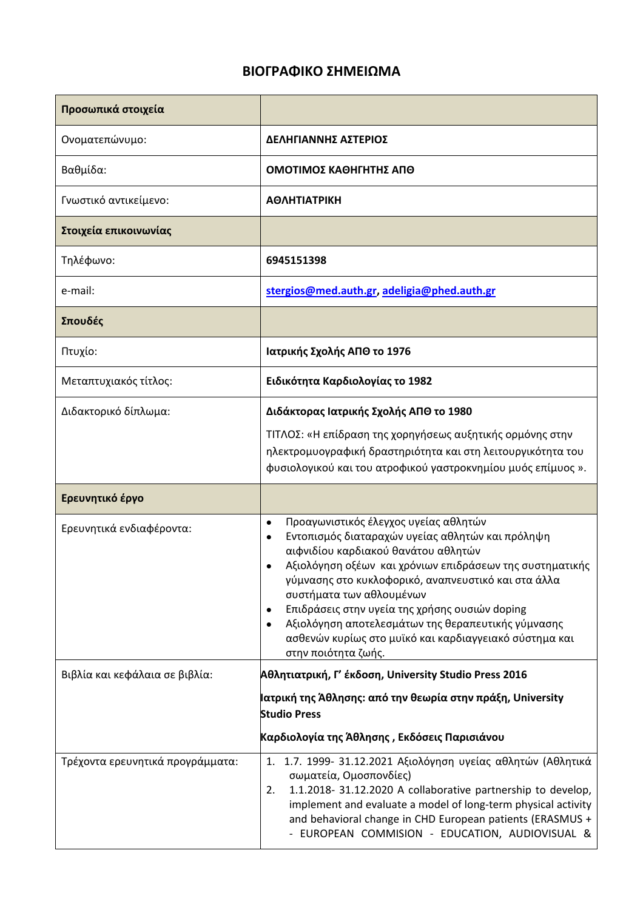## **ΒΙΟΓΡΑΦΙΚΟ ΣΗΜΕΙΩΜΑ**

| Προσωπικά στοιχεία               |                                                                                                                                                                                                                                                                                                                                                                                                                                                                                                    |
|----------------------------------|----------------------------------------------------------------------------------------------------------------------------------------------------------------------------------------------------------------------------------------------------------------------------------------------------------------------------------------------------------------------------------------------------------------------------------------------------------------------------------------------------|
| Ονοματεπώνυμο:                   | ΔΕΛΗΓΙΑΝΝΗΣ ΑΣΤΕΡΙΟΣ                                                                                                                                                                                                                                                                                                                                                                                                                                                                               |
| Βαθμίδα:                         | ΟΜΟΤΙΜΟΣ ΚΑΘΗΓΗΤΗΣ ΑΠΘ                                                                                                                                                                                                                                                                                                                                                                                                                                                                             |
| Γνωστικό αντικείμενο:            | <b>ΑΘΛΗΤΙΑΤΡΙΚΗ</b>                                                                                                                                                                                                                                                                                                                                                                                                                                                                                |
| Στοιχεία επικοινωνίας            |                                                                                                                                                                                                                                                                                                                                                                                                                                                                                                    |
| Τηλέφωνο:                        | 6945151398                                                                                                                                                                                                                                                                                                                                                                                                                                                                                         |
| e-mail:                          | stergios@med.auth.gr, adeligia@phed.auth.gr                                                                                                                                                                                                                                                                                                                                                                                                                                                        |
| Σπουδές                          |                                                                                                                                                                                                                                                                                                                                                                                                                                                                                                    |
| Πτυχίο:                          | Ιατρικής Σχολής ΑΠΘ το 1976                                                                                                                                                                                                                                                                                                                                                                                                                                                                        |
| Μεταπτυχιακός τίτλος:            | Ειδικότητα Καρδιολογίας το 1982                                                                                                                                                                                                                                                                                                                                                                                                                                                                    |
| Διδακτορικό δίπλωμα:             | Διδάκτορας Ιατρικής Σχολής ΑΠΘ το 1980<br>ΤΙΤΛΟΣ: «Η επίδραση της χορηγήσεως αυξητικής ορμόνης στην<br>ηλεκτρομυογραφική δραστηριότητα και στη λειτουργικότητα του<br>φυσιολογικού και του ατροφικού γαστροκνημίου μυός επίμυος ».                                                                                                                                                                                                                                                                 |
| Ερευνητικό έργο                  |                                                                                                                                                                                                                                                                                                                                                                                                                                                                                                    |
| Ερευνητικά ενδιαφέροντα:         | Προαγωνιστικός έλεγχος υγείας αθλητών<br>$\bullet$<br>Εντοπισμός διαταραχών υγείας αθλητών και πρόληψη<br>αιφνιδίου καρδιακού θανάτου αθλητών<br>Αξιολόγηση οξέων και χρόνιων επιδράσεων της συστηματικής<br>γύμνασης στο κυκλοφορικό, αναπνευστικό και στα άλλα<br>συστήματα των αθλουμένων<br>Επιδράσεις στην υγεία της χρήσης ουσιών doping<br>$\bullet$<br>Αξιολόγηση αποτελεσμάτων της θεραπευτικής γύμνασης<br>ασθενών κυρίως στο μυϊκό και καρδιαγγειακό σύστημα και<br>στην ποιότητα ζωής. |
| Βιβλία και κεφάλαια σε βιβλία:   | Αθλητιατρική, Γ' έκδοση, University Studio Press 2016                                                                                                                                                                                                                                                                                                                                                                                                                                              |
|                                  | Ιατρική της Άθλησης: από την θεωρία στην πράξη, University<br><b>Studio Press</b><br>Καρδιολογία της Άθλησης , Εκδόσεις Παρισιάνου                                                                                                                                                                                                                                                                                                                                                                 |
| Τρέχοντα ερευνητικά προγράμματα: | 1. 1.7. 1999- 31.12.2021 Αξιολόγηση υγείας αθλητών (Αθλητικά<br>σωματεία, Ομοσπονδίες)<br>1.1.2018- 31.12.2020 A collaborative partnership to develop,<br>2.<br>implement and evaluate a model of long-term physical activity<br>and behavioral change in CHD European patients (ERASMUS +<br>- EUROPEAN COMMISION - EDUCATION, AUDIOVISUAL &                                                                                                                                                      |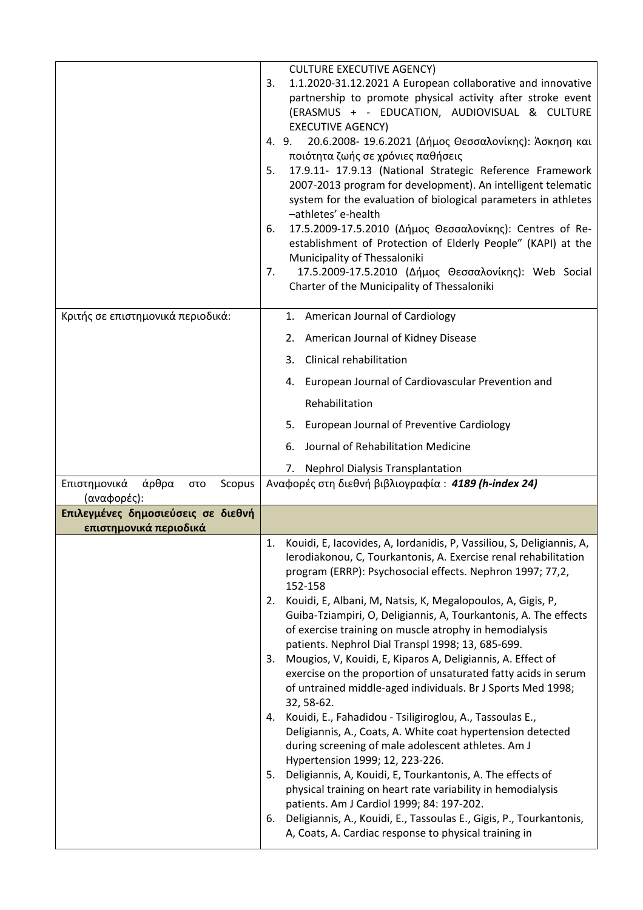|                                                       | <b>CULTURE EXECUTIVE AGENCY)</b><br>1.1.2020-31.12.2021 A European collaborative and innovative<br>3.<br>partnership to promote physical activity after stroke event<br>(ERASMUS + - EDUCATION, AUDIOVISUAL & CULTURE<br><b>EXECUTIVE AGENCY)</b><br>20.6.2008- 19.6.2021 (Δήμος Θεσσαλονίκης): Άσκηση και<br>4.9.<br>ποιότητα ζωής σε χρόνιες παθήσεις<br>17.9.11- 17.9.13 (National Strategic Reference Framework<br>5.<br>2007-2013 program for development). An intelligent telematic<br>system for the evaluation of biological parameters in athletes<br>-athletes' e-health<br>17.5.2009-17.5.2010 (Δήμος Θεσσαλονίκης): Centres of Re-<br>6.<br>establishment of Protection of Elderly People" (KAPI) at the<br>Municipality of Thessaloniki<br>17.5.2009-17.5.2010 (Δήμος Θεσσαλονίκης): Web Social<br>7.<br>Charter of the Municipality of Thessaloniki |
|-------------------------------------------------------|-------------------------------------------------------------------------------------------------------------------------------------------------------------------------------------------------------------------------------------------------------------------------------------------------------------------------------------------------------------------------------------------------------------------------------------------------------------------------------------------------------------------------------------------------------------------------------------------------------------------------------------------------------------------------------------------------------------------------------------------------------------------------------------------------------------------------------------------------------------------|
| Κριτής σε επιστημονικά περιοδικά:                     | 1. American Journal of Cardiology                                                                                                                                                                                                                                                                                                                                                                                                                                                                                                                                                                                                                                                                                                                                                                                                                                 |
|                                                       | 2. American Journal of Kidney Disease                                                                                                                                                                                                                                                                                                                                                                                                                                                                                                                                                                                                                                                                                                                                                                                                                             |
|                                                       | Clinical rehabilitation<br>3.                                                                                                                                                                                                                                                                                                                                                                                                                                                                                                                                                                                                                                                                                                                                                                                                                                     |
|                                                       | 4. European Journal of Cardiovascular Prevention and                                                                                                                                                                                                                                                                                                                                                                                                                                                                                                                                                                                                                                                                                                                                                                                                              |
|                                                       | Rehabilitation                                                                                                                                                                                                                                                                                                                                                                                                                                                                                                                                                                                                                                                                                                                                                                                                                                                    |
|                                                       | 5. European Journal of Preventive Cardiology                                                                                                                                                                                                                                                                                                                                                                                                                                                                                                                                                                                                                                                                                                                                                                                                                      |
|                                                       | Journal of Rehabilitation Medicine<br>6.                                                                                                                                                                                                                                                                                                                                                                                                                                                                                                                                                                                                                                                                                                                                                                                                                          |
|                                                       | 7. Nephrol Dialysis Transplantation                                                                                                                                                                                                                                                                                                                                                                                                                                                                                                                                                                                                                                                                                                                                                                                                                               |
| Επιστημονικά<br>άρθρα<br>Scopus<br>στο<br>(αναφορές): | Αναφορές στη διεθνή βιβλιογραφία: 4189 (h-index 24)                                                                                                                                                                                                                                                                                                                                                                                                                                                                                                                                                                                                                                                                                                                                                                                                               |
| Επιλεγμένες δημοσιεύσεις σε διεθνή                    |                                                                                                                                                                                                                                                                                                                                                                                                                                                                                                                                                                                                                                                                                                                                                                                                                                                                   |
| επιστημονικά περιοδικά                                | 1. Kouidi, E, Iacovides, A, Iordanidis, P, Vassiliou, S, Deligiannis, A,                                                                                                                                                                                                                                                                                                                                                                                                                                                                                                                                                                                                                                                                                                                                                                                          |
|                                                       | Ierodiakonou, C, Tourkantonis, A. Exercise renal rehabilitation<br>program (ERRP): Psychosocial effects. Nephron 1997; 77,2,<br>152-158                                                                                                                                                                                                                                                                                                                                                                                                                                                                                                                                                                                                                                                                                                                           |
|                                                       | 2. Kouidi, E, Albani, M, Natsis, K, Megalopoulos, A, Gigis, P,<br>Guiba-Tziampiri, O, Deligiannis, A, Tourkantonis, A. The effects<br>of exercise training on muscle atrophy in hemodialysis<br>patients. Nephrol Dial Transpl 1998; 13, 685-699.                                                                                                                                                                                                                                                                                                                                                                                                                                                                                                                                                                                                                 |
|                                                       | 3. Mougios, V, Kouidi, E, Kiparos A, Deligiannis, A. Effect of<br>exercise on the proportion of unsaturated fatty acids in serum<br>of untrained middle-aged individuals. Br J Sports Med 1998;<br>32, 58-62.                                                                                                                                                                                                                                                                                                                                                                                                                                                                                                                                                                                                                                                     |
|                                                       | 4. Kouidi, E., Fahadidou - Tsiligiroglou, A., Tassoulas E.,<br>Deligiannis, A., Coats, A. White coat hypertension detected<br>during screening of male adolescent athletes. Am J<br>Hypertension 1999; 12, 223-226.<br>5. Deligiannis, A, Kouidi, E, Tourkantonis, A. The effects of<br>physical training on heart rate variability in hemodialysis                                                                                                                                                                                                                                                                                                                                                                                                                                                                                                               |
|                                                       | patients. Am J Cardiol 1999; 84: 197-202.<br>6. Deligiannis, A., Kouidi, E., Tassoulas E., Gigis, P., Tourkantonis,<br>A, Coats, A. Cardiac response to physical training in                                                                                                                                                                                                                                                                                                                                                                                                                                                                                                                                                                                                                                                                                      |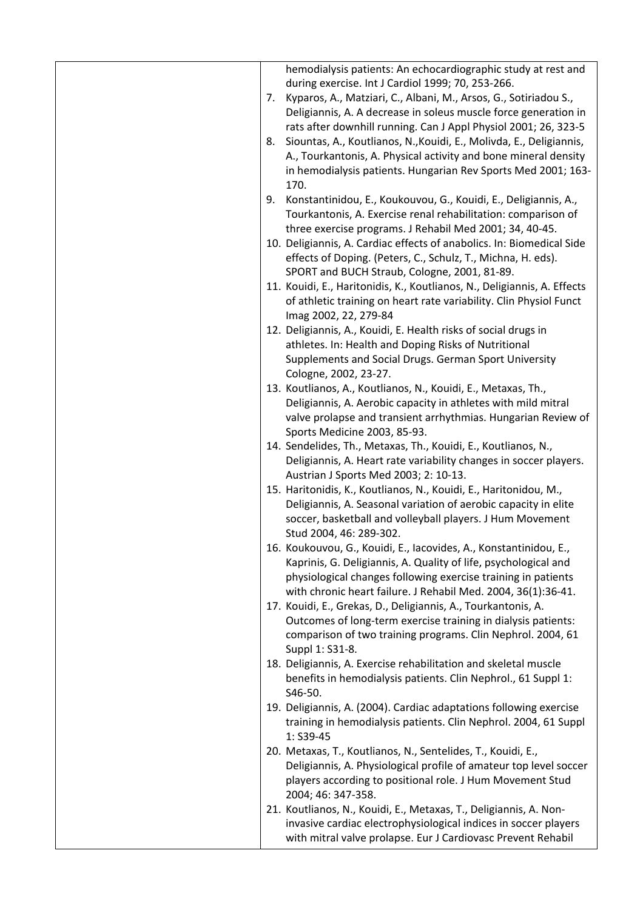|    | hemodialysis patients: An echocardiographic study at rest and<br>during exercise. Int J Cardiol 1999; 70, 253-266.                   |
|----|--------------------------------------------------------------------------------------------------------------------------------------|
|    | 7. Kyparos, A., Matziari, C., Albani, M., Arsos, G., Sotiriadou S.,                                                                  |
|    | Deligiannis, A. A decrease in soleus muscle force generation in                                                                      |
|    | rats after downhill running. Can J Appl Physiol 2001; 26, 323-5                                                                      |
| 8. | Siountas, A., Koutlianos, N., Kouidi, E., Molivda, E., Deligiannis,                                                                  |
|    | A., Tourkantonis, A. Physical activity and bone mineral density                                                                      |
|    | in hemodialysis patients. Hungarian Rev Sports Med 2001; 163-<br>170.                                                                |
|    | 9. Konstantinidou, E., Koukouvou, G., Kouidi, E., Deligiannis, A.,                                                                   |
|    | Tourkantonis, A. Exercise renal rehabilitation: comparison of                                                                        |
|    | three exercise programs. J Rehabil Med 2001; 34, 40-45.                                                                              |
|    | 10. Deligiannis, A. Cardiac effects of anabolics. In: Biomedical Side                                                                |
|    | effects of Doping. (Peters, C., Schulz, T., Michna, H. eds).                                                                         |
|    | SPORT and BUCH Straub, Cologne, 2001, 81-89.                                                                                         |
|    | 11. Kouidi, E., Haritonidis, K., Koutlianos, N., Deligiannis, A. Effects                                                             |
|    | of athletic training on heart rate variability. Clin Physiol Funct                                                                   |
|    | Imag 2002, 22, 279-84                                                                                                                |
|    | 12. Deligiannis, A., Kouidi, E. Health risks of social drugs in                                                                      |
|    | athletes. In: Health and Doping Risks of Nutritional                                                                                 |
|    | Supplements and Social Drugs. German Sport University                                                                                |
|    | Cologne, 2002, 23-27.                                                                                                                |
|    | 13. Koutlianos, A., Koutlianos, N., Kouidi, E., Metaxas, Th.,                                                                        |
|    | Deligiannis, A. Aerobic capacity in athletes with mild mitral                                                                        |
|    | valve prolapse and transient arrhythmias. Hungarian Review of                                                                        |
|    | Sports Medicine 2003, 85-93.                                                                                                         |
|    | 14. Sendelides, Th., Metaxas, Th., Kouidi, E., Koutlianos, N.,                                                                       |
|    | Deligiannis, A. Heart rate variability changes in soccer players.                                                                    |
|    | Austrian J Sports Med 2003; 2: 10-13.                                                                                                |
|    | 15. Haritonidis, K., Koutlianos, N., Kouidi, E., Haritonidou, M.,<br>Deligiannis, A. Seasonal variation of aerobic capacity in elite |
|    | soccer, basketball and volleyball players. J Hum Movement                                                                            |
|    | Stud 2004, 46: 289-302.                                                                                                              |
|    | 16. Koukouvou, G., Kouidi, E., Iacovides, A., Konstantinidou, E.,                                                                    |
|    | Kaprinis, G. Deligiannis, A. Quality of life, psychological and                                                                      |
|    | physiological changes following exercise training in patients                                                                        |
|    | with chronic heart failure. J Rehabil Med. 2004, 36(1):36-41.                                                                        |
|    | 17. Kouidi, E., Grekas, D., Deligiannis, A., Tourkantonis, A.                                                                        |
|    | Outcomes of long-term exercise training in dialysis patients:                                                                        |
|    | comparison of two training programs. Clin Nephrol. 2004, 61                                                                          |
|    | Suppl 1: S31-8.                                                                                                                      |
|    | 18. Deligiannis, A. Exercise rehabilitation and skeletal muscle                                                                      |
|    | benefits in hemodialysis patients. Clin Nephrol., 61 Suppl 1:                                                                        |
|    | S46-50.                                                                                                                              |
|    | 19. Deligiannis, A. (2004). Cardiac adaptations following exercise                                                                   |
|    | training in hemodialysis patients. Clin Nephrol. 2004, 61 Suppl<br>1: S39-45                                                         |
|    | 20. Metaxas, T., Koutlianos, N., Sentelides, T., Kouidi, E.,                                                                         |
|    | Deligiannis, A. Physiological profile of amateur top level soccer                                                                    |
|    | players according to positional role. J Hum Movement Stud                                                                            |
|    | 2004; 46: 347-358.                                                                                                                   |
|    | 21. Koutlianos, N., Kouidi, E., Metaxas, T., Deligiannis, A. Non-                                                                    |
|    | invasive cardiac electrophysiological indices in soccer players                                                                      |
|    |                                                                                                                                      |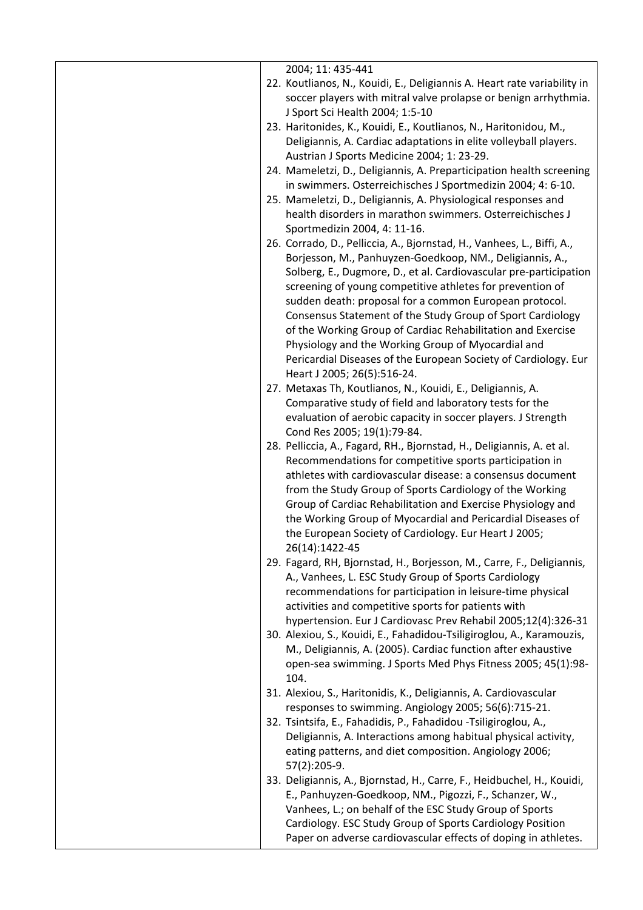| 2004; 11: 435-441<br>22. Koutlianos, N., Kouidi, E., Deligiannis A. Heart rate variability in                                 |
|-------------------------------------------------------------------------------------------------------------------------------|
| soccer players with mitral valve prolapse or benign arrhythmia.<br>J Sport Sci Health 2004; 1:5-10                            |
| 23. Haritonides, K., Kouidi, E., Koutlianos, N., Haritonidou, M.,                                                             |
| Deligiannis, A. Cardiac adaptations in elite volleyball players.                                                              |
| Austrian J Sports Medicine 2004; 1: 23-29.                                                                                    |
| 24. Mameletzi, D., Deligiannis, A. Preparticipation health screening                                                          |
| in swimmers. Osterreichisches J Sportmedizin 2004; 4: 6-10.                                                                   |
| 25. Mameletzi, D., Deligiannis, A. Physiological responses and                                                                |
| health disorders in marathon swimmers. Osterreichisches J                                                                     |
| Sportmedizin 2004, 4: 11-16.<br>26. Corrado, D., Pelliccia, A., Bjornstad, H., Vanhees, L., Biffi, A.,                        |
| Borjesson, M., Panhuyzen-Goedkoop, NM., Deligiannis, A.,                                                                      |
| Solberg, E., Dugmore, D., et al. Cardiovascular pre-participation                                                             |
| screening of young competitive athletes for prevention of                                                                     |
| sudden death: proposal for a common European protocol.                                                                        |
| Consensus Statement of the Study Group of Sport Cardiology                                                                    |
| of the Working Group of Cardiac Rehabilitation and Exercise                                                                   |
| Physiology and the Working Group of Myocardial and                                                                            |
| Pericardial Diseases of the European Society of Cardiology. Eur                                                               |
| Heart J 2005; 26(5):516-24.                                                                                                   |
| 27. Metaxas Th, Koutlianos, N., Kouidi, E., Deligiannis, A.                                                                   |
| Comparative study of field and laboratory tests for the                                                                       |
| evaluation of aerobic capacity in soccer players. J Strength                                                                  |
| Cond Res 2005; 19(1):79-84.<br>28. Pelliccia, A., Fagard, RH., Bjornstad, H., Deligiannis, A. et al.                          |
| Recommendations for competitive sports participation in                                                                       |
| athletes with cardiovascular disease: a consensus document                                                                    |
| from the Study Group of Sports Cardiology of the Working                                                                      |
| Group of Cardiac Rehabilitation and Exercise Physiology and                                                                   |
| the Working Group of Myocardial and Pericardial Diseases of                                                                   |
| the European Society of Cardiology. Eur Heart J 2005;                                                                         |
| 26(14):1422-45                                                                                                                |
| 29. Fagard, RH, Bjornstad, H., Borjesson, M., Carre, F., Deligiannis,<br>A., Vanhees, L. ESC Study Group of Sports Cardiology |
| recommendations for participation in leisure-time physical                                                                    |
| activities and competitive sports for patients with                                                                           |
| hypertension. Eur J Cardiovasc Prev Rehabil 2005;12(4):326-31                                                                 |
| 30. Alexiou, S., Kouidi, E., Fahadidou-Tsiligiroglou, A., Karamouzis,                                                         |
| M., Deligiannis, A. (2005). Cardiac function after exhaustive                                                                 |
| open-sea swimming. J Sports Med Phys Fitness 2005; 45(1):98-<br>104.                                                          |
| 31. Alexiou, S., Haritonidis, K., Deligiannis, A. Cardiovascular                                                              |
| responses to swimming. Angiology 2005; 56(6):715-21.                                                                          |
| 32. Tsintsifa, E., Fahadidis, P., Fahadidou -Tsiligiroglou, A.,                                                               |
| Deligiannis, A. Interactions among habitual physical activity,                                                                |
| eating patterns, and diet composition. Angiology 2006;                                                                        |
| 57(2):205-9.                                                                                                                  |
| 33. Deligiannis, A., Bjornstad, H., Carre, F., Heidbuchel, H., Kouidi,                                                        |
| E., Panhuyzen-Goedkoop, NM., Pigozzi, F., Schanzer, W.,                                                                       |
| Vanhees, L.; on behalf of the ESC Study Group of Sports                                                                       |
|                                                                                                                               |
| Cardiology. ESC Study Group of Sports Cardiology Position<br>Paper on adverse cardiovascular effects of doping in athletes.   |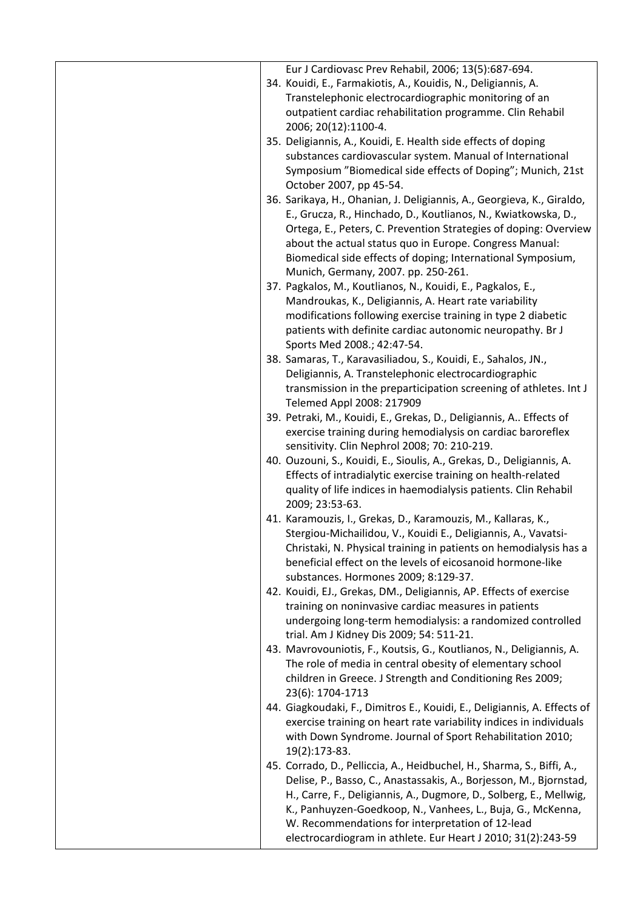| Eur J Cardiovasc Prev Rehabil, 2006; 13(5):687-694.                                                                                            |
|------------------------------------------------------------------------------------------------------------------------------------------------|
| 34. Kouidi, E., Farmakiotis, A., Kouidis, N., Deligiannis, A.                                                                                  |
| Transtelephonic electrocardiographic monitoring of an                                                                                          |
| outpatient cardiac rehabilitation programme. Clin Rehabil                                                                                      |
| 2006; 20(12):1100-4.                                                                                                                           |
| 35. Deligiannis, A., Kouidi, E. Health side effects of doping                                                                                  |
| substances cardiovascular system. Manual of International                                                                                      |
| Symposium "Biomedical side effects of Doping"; Munich, 21st                                                                                    |
| October 2007, pp 45-54.                                                                                                                        |
| 36. Sarikaya, H., Ohanian, J. Deligiannis, A., Georgieva, K., Giraldo,                                                                         |
| E., Grucza, R., Hinchado, D., Koutlianos, N., Kwiatkowska, D.,                                                                                 |
| Ortega, E., Peters, C. Prevention Strategies of doping: Overview                                                                               |
| about the actual status quo in Europe. Congress Manual:                                                                                        |
| Biomedical side effects of doping; International Symposium,                                                                                    |
| Munich, Germany, 2007. pp. 250-261.                                                                                                            |
| 37. Pagkalos, M., Koutlianos, N., Kouidi, E., Pagkalos, E.,                                                                                    |
| Mandroukas, K., Deligiannis, A. Heart rate variability                                                                                         |
| modifications following exercise training in type 2 diabetic                                                                                   |
| patients with definite cardiac autonomic neuropathy. Br J                                                                                      |
| Sports Med 2008.; 42:47-54.                                                                                                                    |
| 38. Samaras, T., Karavasiliadou, S., Kouidi, E., Sahalos, JN.,<br>Deligiannis, A. Transtelephonic electrocardiographic                         |
| transmission in the preparticipation screening of athletes. Int J                                                                              |
| Telemed Appl 2008: 217909                                                                                                                      |
| 39. Petraki, M., Kouidi, E., Grekas, D., Deligiannis, A Effects of                                                                             |
| exercise training during hemodialysis on cardiac baroreflex                                                                                    |
| sensitivity. Clin Nephrol 2008; 70: 210-219.                                                                                                   |
| 40. Ouzouni, S., Kouidi, E., Sioulis, A., Grekas, D., Deligiannis, A.                                                                          |
| Effects of intradialytic exercise training on health-related                                                                                   |
| quality of life indices in haemodialysis patients. Clin Rehabil                                                                                |
| 2009; 23:53-63.                                                                                                                                |
| 41. Karamouzis, I., Grekas, D., Karamouzis, M., Kallaras, K.,                                                                                  |
| Stergiou-Michailidou, V., Kouidi E., Deligiannis, A., Vavatsi-                                                                                 |
| Christaki, N. Physical training in patients on hemodialysis has a                                                                              |
| beneficial effect on the levels of eicosanoid hormone-like                                                                                     |
| substances. Hormones 2009; 8:129-37.                                                                                                           |
| 42. Kouidi, EJ., Grekas, DM., Deligiannis, AP. Effects of exercise                                                                             |
| training on noninvasive cardiac measures in patients                                                                                           |
| undergoing long-term hemodialysis: a randomized controlled                                                                                     |
| trial. Am J Kidney Dis 2009; 54: 511-21.                                                                                                       |
| 43. Mavrovouniotis, F., Koutsis, G., Koutlianos, N., Deligiannis, A.                                                                           |
| The role of media in central obesity of elementary school                                                                                      |
| children in Greece. J Strength and Conditioning Res 2009;                                                                                      |
| 23(6): 1704-1713                                                                                                                               |
| 44. Giagkoudaki, F., Dimitros E., Kouidi, E., Deligiannis, A. Effects of<br>exercise training on heart rate variability indices in individuals |
| with Down Syndrome. Journal of Sport Rehabilitation 2010;                                                                                      |
| 19(2):173-83.                                                                                                                                  |
| 45. Corrado, D., Pelliccia, A., Heidbuchel, H., Sharma, S., Biffi, A.,                                                                         |
| Delise, P., Basso, C., Anastassakis, A., Borjesson, M., Bjornstad,                                                                             |
| H., Carre, F., Deligiannis, A., Dugmore, D., Solberg, E., Mellwig,                                                                             |
| K., Panhuyzen-Goedkoop, N., Vanhees, L., Buja, G., McKenna,                                                                                    |
| W. Recommendations for interpretation of 12-lead                                                                                               |
| electrocardiogram in athlete. Eur Heart J 2010; 31(2):243-59                                                                                   |
|                                                                                                                                                |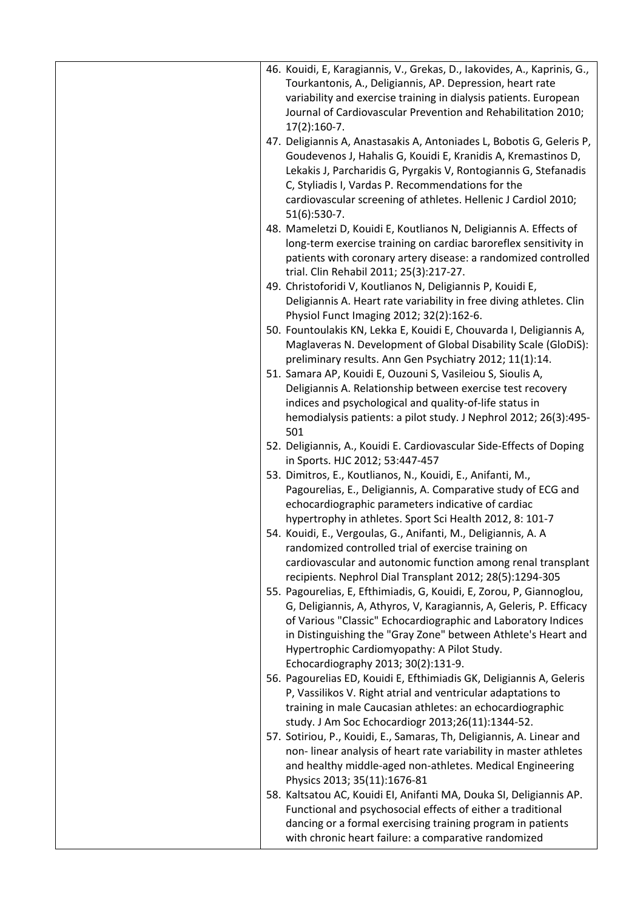| 46. Kouidi, E, Karagiannis, V., Grekas, D., Iakovides, A., Kaprinis, G.,<br>Tourkantonis, A., Deligiannis, AP. Depression, heart rate<br>variability and exercise training in dialysis patients. European<br>Journal of Cardiovascular Prevention and Rehabilitation 2010;<br>$17(2):160-7.$                                                                                                                                    |
|---------------------------------------------------------------------------------------------------------------------------------------------------------------------------------------------------------------------------------------------------------------------------------------------------------------------------------------------------------------------------------------------------------------------------------|
| 47. Deligiannis A, Anastasakis A, Antoniades L, Bobotis G, Geleris P,<br>Goudevenos J, Hahalis G, Kouidi E, Kranidis A, Kremastinos D,<br>Lekakis J, Parcharidis G, Pyrgakis V, Rontogiannis G, Stefanadis<br>C, Styliadis I, Vardas P. Recommendations for the<br>cardiovascular screening of athletes. Hellenic J Cardiol 2010;                                                                                               |
| $51(6):530-7.$<br>48. Mameletzi D, Kouidi E, Koutlianos N, Deligiannis A. Effects of<br>long-term exercise training on cardiac baroreflex sensitivity in<br>patients with coronary artery disease: a randomized controlled<br>trial. Clin Rehabil 2011; 25(3):217-27.                                                                                                                                                           |
| 49. Christoforidi V, Koutlianos N, Deligiannis P, Kouidi E,<br>Deligiannis A. Heart rate variability in free diving athletes. Clin<br>Physiol Funct Imaging 2012; 32(2):162-6.                                                                                                                                                                                                                                                  |
| 50. Fountoulakis KN, Lekka E, Kouidi E, Chouvarda I, Deligiannis A,<br>Maglaveras N. Development of Global Disability Scale (GloDiS):<br>preliminary results. Ann Gen Psychiatry 2012; 11(1):14.                                                                                                                                                                                                                                |
| 51. Samara AP, Kouidi E, Ouzouni S, Vasileiou S, Sioulis A,<br>Deligiannis A. Relationship between exercise test recovery<br>indices and psychological and quality-of-life status in<br>hemodialysis patients: a pilot study. J Nephrol 2012; 26(3):495-<br>501                                                                                                                                                                 |
| 52. Deligiannis, A., Kouidi E. Cardiovascular Side-Effects of Doping<br>in Sports. HJC 2012; 53:447-457                                                                                                                                                                                                                                                                                                                         |
| 53. Dimitros, E., Koutlianos, N., Kouidi, E., Anifanti, M.,<br>Pagourelias, E., Deligiannis, A. Comparative study of ECG and<br>echocardiographic parameters indicative of cardiac<br>hypertrophy in athletes. Sport Sci Health 2012, 8: 101-7                                                                                                                                                                                  |
| 54. Kouidi, E., Vergoulas, G., Anifanti, M., Deligiannis, A. A<br>randomized controlled trial of exercise training on<br>cardiovascular and autonomic function among renal transplant                                                                                                                                                                                                                                           |
| recipients. Nephrol Dial Transplant 2012; 28(5):1294-305<br>55. Pagourelias, E, Efthimiadis, G, Kouidi, E, Zorou, P, Giannoglou,<br>G, Deligiannis, A, Athyros, V, Karagiannis, A, Geleris, P. Efficacy<br>of Various "Classic" Echocardiographic and Laboratory Indices<br>in Distinguishing the "Gray Zone" between Athlete's Heart and<br>Hypertrophic Cardiomyopathy: A Pilot Study.<br>Echocardiography 2013; 30(2):131-9. |
| 56. Pagourelias ED, Kouidi E, Efthimiadis GK, Deligiannis A, Geleris<br>P, Vassilikos V. Right atrial and ventricular adaptations to<br>training in male Caucasian athletes: an echocardiographic<br>study. J Am Soc Echocardiogr 2013;26(11):1344-52.                                                                                                                                                                          |
| 57. Sotiriou, P., Kouidi, E., Samaras, Th, Deligiannis, A. Linear and<br>non-linear analysis of heart rate variability in master athletes<br>and healthy middle-aged non-athletes. Medical Engineering<br>Physics 2013; 35(11):1676-81                                                                                                                                                                                          |
| 58. Kaltsatou AC, Kouidi EI, Anifanti MA, Douka SI, Deligiannis AP.<br>Functional and psychosocial effects of either a traditional<br>dancing or a formal exercising training program in patients<br>with chronic heart failure: a comparative randomized                                                                                                                                                                       |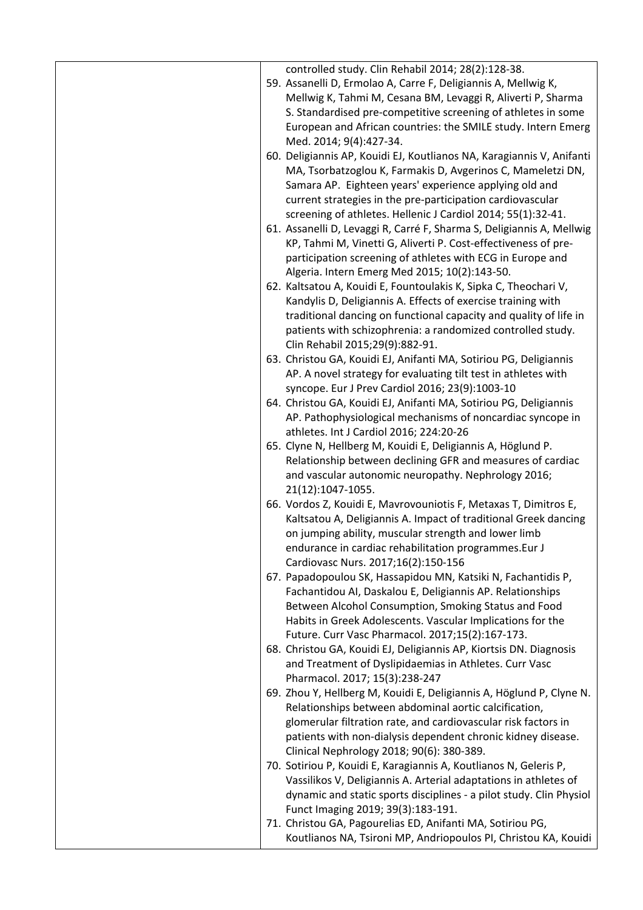| controlled study. Clin Rehabil 2014; 28(2):128-38.                                                        |  |
|-----------------------------------------------------------------------------------------------------------|--|
| 59. Assanelli D, Ermolao A, Carre F, Deligiannis A, Mellwig K,                                            |  |
| Mellwig K, Tahmi M, Cesana BM, Levaggi R, Aliverti P, Sharma                                              |  |
| S. Standardised pre-competitive screening of athletes in some                                             |  |
| European and African countries: the SMILE study. Intern Emerg                                             |  |
| Med. 2014; 9(4):427-34.                                                                                   |  |
| 60. Deligiannis AP, Kouidi EJ, Koutlianos NA, Karagiannis V, Anifanti                                     |  |
| MA, Tsorbatzoglou K, Farmakis D, Avgerinos C, Mameletzi DN,                                               |  |
| Samara AP. Eighteen years' experience applying old and                                                    |  |
| current strategies in the pre-participation cardiovascular                                                |  |
| screening of athletes. Hellenic J Cardiol 2014; 55(1):32-41.                                              |  |
| 61. Assanelli D, Levaggi R, Carré F, Sharma S, Deligiannis A, Mellwig                                     |  |
| KP, Tahmi M, Vinetti G, Aliverti P. Cost-effectiveness of pre-                                            |  |
| participation screening of athletes with ECG in Europe and                                                |  |
| Algeria. Intern Emerg Med 2015; 10(2):143-50.                                                             |  |
| 62. Kaltsatou A, Kouidi E, Fountoulakis K, Sipka C, Theochari V,                                          |  |
| Kandylis D, Deligiannis A. Effects of exercise training with                                              |  |
| traditional dancing on functional capacity and quality of life in                                         |  |
| patients with schizophrenia: a randomized controlled study.                                               |  |
| Clin Rehabil 2015;29(9):882-91.                                                                           |  |
| 63. Christou GA, Kouidi EJ, Anifanti MA, Sotiriou PG, Deligiannis                                         |  |
| AP. A novel strategy for evaluating tilt test in athletes with                                            |  |
| syncope. Eur J Prev Cardiol 2016; 23(9):1003-10                                                           |  |
| 64. Christou GA, Kouidi EJ, Anifanti MA, Sotiriou PG, Deligiannis                                         |  |
| AP. Pathophysiological mechanisms of noncardiac syncope in                                                |  |
| athletes. Int J Cardiol 2016; 224:20-26                                                                   |  |
| 65. Clyne N, Hellberg M, Kouidi E, Deligiannis A, Höglund P.                                              |  |
| Relationship between declining GFR and measures of cardiac                                                |  |
| and vascular autonomic neuropathy. Nephrology 2016;<br>21(12):1047-1055.                                  |  |
| 66. Vordos Z, Kouidi E, Mavrovouniotis F, Metaxas T, Dimitros E,                                          |  |
| Kaltsatou A, Deligiannis A. Impact of traditional Greek dancing                                           |  |
| on jumping ability, muscular strength and lower limb                                                      |  |
| endurance in cardiac rehabilitation programmes. Eur J                                                     |  |
| Cardiovasc Nurs. 2017;16(2):150-156                                                                       |  |
| 67. Papadopoulou SK, Hassapidou MN, Katsiki N, Fachantidis P,                                             |  |
| Fachantidou AI, Daskalou E, Deligiannis AP. Relationships                                                 |  |
| Between Alcohol Consumption, Smoking Status and Food                                                      |  |
| Habits in Greek Adolescents. Vascular Implications for the                                                |  |
| Future. Curr Vasc Pharmacol. 2017;15(2):167-173.                                                          |  |
| 68. Christou GA, Kouidi EJ, Deligiannis AP, Kiortsis DN. Diagnosis                                        |  |
| and Treatment of Dyslipidaemias in Athletes. Curr Vasc                                                    |  |
| Pharmacol. 2017; 15(3):238-247                                                                            |  |
| 69. Zhou Y, Hellberg M, Kouidi E, Deligiannis A, Höglund P, Clyne N.                                      |  |
| Relationships between abdominal aortic calcification,                                                     |  |
| glomerular filtration rate, and cardiovascular risk factors in                                            |  |
| patients with non-dialysis dependent chronic kidney disease.<br>Clinical Nephrology 2018; 90(6): 380-389. |  |
| 70. Sotiriou P, Kouidi E, Karagiannis A, Koutlianos N, Geleris P,                                         |  |
| Vassilikos V, Deligiannis A. Arterial adaptations in athletes of                                          |  |
| dynamic and static sports disciplines - a pilot study. Clin Physiol                                       |  |
| Funct Imaging 2019; 39(3):183-191.                                                                        |  |
| 71. Christou GA, Pagourelias ED, Anifanti MA, Sotiriou PG,                                                |  |
| Koutlianos NA, Tsironi MP, Andriopoulos PI, Christou KA, Kouidi                                           |  |
|                                                                                                           |  |